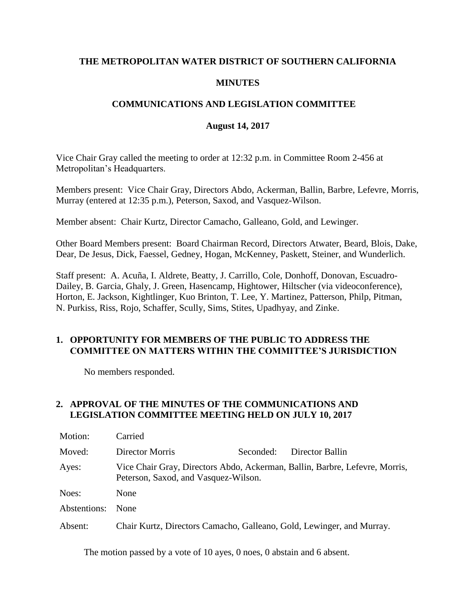## **THE METROPOLITAN WATER DISTRICT OF SOUTHERN CALIFORNIA**

## **MINUTES**

## **COMMUNICATIONS AND LEGISLATION COMMITTEE**

#### **August 14, 2017**

Vice Chair Gray called the meeting to order at 12:32 p.m. in Committee Room 2-456 at Metropolitan's Headquarters.

Members present: Vice Chair Gray, Directors Abdo, Ackerman, Ballin, Barbre, Lefevre, Morris, Murray (entered at 12:35 p.m.), Peterson, Saxod, and Vasquez-Wilson.

Member absent: Chair Kurtz, Director Camacho, Galleano, Gold, and Lewinger.

Other Board Members present: Board Chairman Record, Directors Atwater, Beard, Blois, Dake, Dear, De Jesus, Dick, Faessel, Gedney, Hogan, McKenney, Paskett, Steiner, and Wunderlich.

Staff present: A. Acuña, I. Aldrete, Beatty, J. Carrillo, Cole, Donhoff, Donovan, Escuadro-Dailey, B. Garcia, Ghaly, J. Green, Hasencamp, Hightower, Hiltscher (via videoconference), Horton, E. Jackson, Kightlinger, Kuo Brinton, T. Lee, Y. Martinez, Patterson, Philp, Pitman, N. Purkiss, Riss, Rojo, Schaffer, Scully, Sims, Stites, Upadhyay, and Zinke.

## **1. OPPORTUNITY FOR MEMBERS OF THE PUBLIC TO ADDRESS THE COMMITTEE ON MATTERS WITHIN THE COMMITTEE'S JURISDICTION**

No members responded.

## **2. APPROVAL OF THE MINUTES OF THE COMMUNICATIONS AND LEGISLATION COMMITTEE MEETING HELD ON JULY 10, 2017**

| Motion:      | Carried                                                                                                             |           |                 |  |
|--------------|---------------------------------------------------------------------------------------------------------------------|-----------|-----------------|--|
| Moved:       | Director Morris                                                                                                     | Seconded: | Director Ballin |  |
| Ayes:        | Vice Chair Gray, Directors Abdo, Ackerman, Ballin, Barbre, Lefevre, Morris,<br>Peterson, Saxod, and Vasquez-Wilson. |           |                 |  |
| Noes:        | None                                                                                                                |           |                 |  |
| Abstentions: | <b>None</b>                                                                                                         |           |                 |  |
| Absent:      | Chair Kurtz, Directors Camacho, Galleano, Gold, Lewinger, and Murray.                                               |           |                 |  |

The motion passed by a vote of 10 ayes, 0 noes, 0 abstain and 6 absent.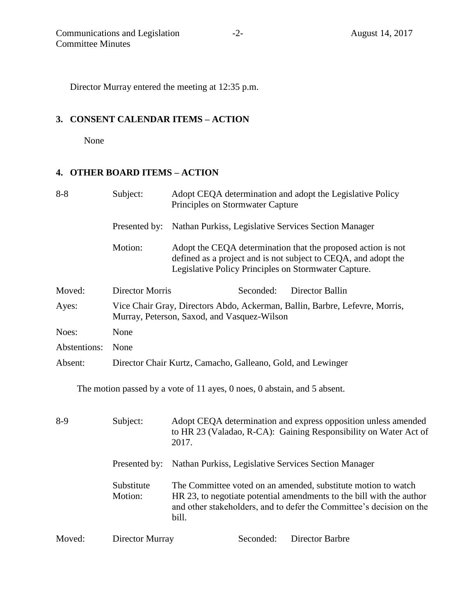Director Murray entered the meeting at 12:35 p.m.

# **3. CONSENT CALENDAR ITEMS – ACTION**

None

# **4. OTHER BOARD ITEMS – ACTION**

| $8 - 8$      | Subject:                                                                                                                   | Adopt CEQA determination and adopt the Legislative Policy<br>Principles on Stormwater Capture                                                                                                                          |  |  |  |
|--------------|----------------------------------------------------------------------------------------------------------------------------|------------------------------------------------------------------------------------------------------------------------------------------------------------------------------------------------------------------------|--|--|--|
|              | Presented by:                                                                                                              | Nathan Purkiss, Legislative Services Section Manager                                                                                                                                                                   |  |  |  |
|              | Motion:                                                                                                                    | Adopt the CEQA determination that the proposed action is not<br>defined as a project and is not subject to CEQA, and adopt the<br>Legislative Policy Principles on Stormwater Capture.                                 |  |  |  |
| Moved:       | <b>Director Morris</b>                                                                                                     | Seconded:<br>Director Ballin                                                                                                                                                                                           |  |  |  |
| Ayes:        | Vice Chair Gray, Directors Abdo, Ackerman, Ballin, Barbre, Lefevre, Morris,<br>Murray, Peterson, Saxod, and Vasquez-Wilson |                                                                                                                                                                                                                        |  |  |  |
| Noes:        | None                                                                                                                       |                                                                                                                                                                                                                        |  |  |  |
| Abstentions: | None                                                                                                                       |                                                                                                                                                                                                                        |  |  |  |
| Absent:      | Director Chair Kurtz, Camacho, Galleano, Gold, and Lewinger                                                                |                                                                                                                                                                                                                        |  |  |  |
|              |                                                                                                                            | The motion passed by a vote of 11 ayes, 0 noes, 0 abstain, and 5 absent.                                                                                                                                               |  |  |  |
| $8-9$        | Subject:                                                                                                                   | Adopt CEQA determination and express opposition unless amended<br>to HR 23 (Valadao, R-CA): Gaining Responsibility on Water Act of<br>2017.                                                                            |  |  |  |
|              | Presented by:                                                                                                              | Nathan Purkiss, Legislative Services Section Manager                                                                                                                                                                   |  |  |  |
|              | Substitute<br>Motion:                                                                                                      | The Committee voted on an amended, substitute motion to watch<br>HR 23, to negotiate potential amendments to the bill with the author<br>and other stakeholders, and to defer the Committee's decision on the<br>bill. |  |  |  |
| Moved:       | Director Murray                                                                                                            | Seconded:<br>Director Barbre                                                                                                                                                                                           |  |  |  |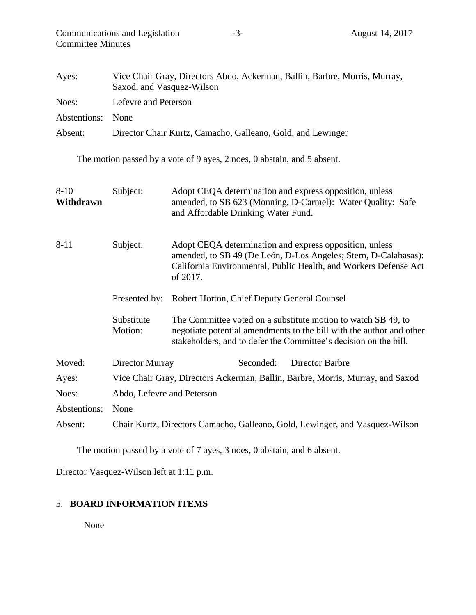| <b>Committee Minutes</b> |                                                                                                         |                                                                                                                                                                                                            |  |  |
|--------------------------|---------------------------------------------------------------------------------------------------------|------------------------------------------------------------------------------------------------------------------------------------------------------------------------------------------------------------|--|--|
| Ayes:                    | Vice Chair Gray, Directors Abdo, Ackerman, Ballin, Barbre, Morris, Murray,<br>Saxod, and Vasquez-Wilson |                                                                                                                                                                                                            |  |  |
| Noes:                    | Lefevre and Peterson                                                                                    |                                                                                                                                                                                                            |  |  |
| Abstentions:             | None                                                                                                    |                                                                                                                                                                                                            |  |  |
| Absent:                  | Director Chair Kurtz, Camacho, Galleano, Gold, and Lewinger                                             |                                                                                                                                                                                                            |  |  |
|                          |                                                                                                         | The motion passed by a vote of 9 ayes, 2 noes, 0 abstain, and 5 absent.                                                                                                                                    |  |  |
| $8 - 10$<br>Withdrawn    | Subject:                                                                                                | Adopt CEQA determination and express opposition, unless<br>amended, to SB 623 (Monning, D-Carmel): Water Quality: Safe<br>and Affordable Drinking Water Fund.                                              |  |  |
| $8 - 11$                 | Subject:                                                                                                | Adopt CEQA determination and express opposition, unless<br>amended, to SB 49 (De León, D-Los Angeles; Stern, D-Calabasas):<br>California Environmental, Public Health, and Workers Defense Act<br>of 2017. |  |  |
|                          | Presented by:                                                                                           | Robert Horton, Chief Deputy General Counsel                                                                                                                                                                |  |  |
|                          | Substitute<br>Motion:                                                                                   | The Committee voted on a substitute motion to watch SB 49, to<br>negotiate potential amendments to the bill with the author and other<br>stakeholders, and to defer the Committee's decision on the bill.  |  |  |
| Moved:                   | Director Murray                                                                                         | <b>Director Barbre</b><br>Seconded:                                                                                                                                                                        |  |  |
| Ayes:                    | Vice Chair Gray, Directors Ackerman, Ballin, Barbre, Morris, Murray, and Saxod                          |                                                                                                                                                                                                            |  |  |
| Noes:                    | Abdo, Lefevre and Peterson                                                                              |                                                                                                                                                                                                            |  |  |
| Abstentions:             | None                                                                                                    |                                                                                                                                                                                                            |  |  |
| Absent:                  |                                                                                                         | Chair Kurtz, Directors Camacho, Galleano, Gold, Lewinger, and Vasquez-Wilson                                                                                                                               |  |  |

The motion passed by a vote of 7 ayes, 3 noes, 0 abstain, and 6 absent.

Director Vasquez-Wilson left at 1:11 p.m.

# 5. **BOARD INFORMATION ITEMS**

None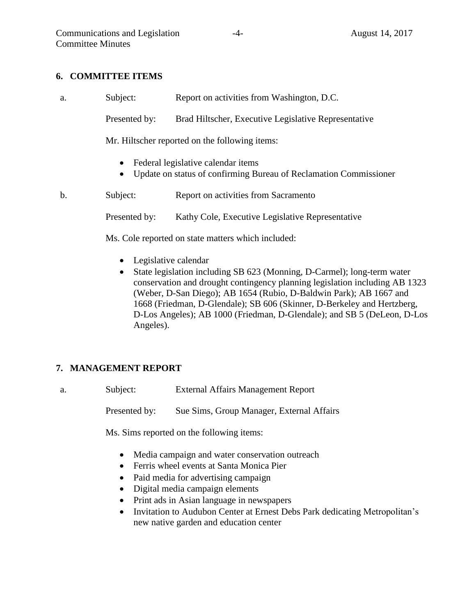### **6. COMMITTEE ITEMS**

a. Subject: Report on activities from Washington, D.C. Presented by: Brad Hiltscher, Executive Legislative Representative Mr. Hiltscher reported on the following items: • Federal legislative calendar items Update on status of confirming Bureau of Reclamation Commissioner b. Subject: Report on activities from Sacramento Presented by: Kathy Cole, Executive Legislative Representative Ms. Cole reported on state matters which included:

- Legislative calendar
- State legislation including SB 623 (Monning, D-Carmel); long-term water conservation and drought contingency planning legislation including AB 1323 (Weber, D-San Diego); AB 1654 (Rubio, D-Baldwin Park); AB 1667 and 1668 (Friedman, D-Glendale); SB 606 (Skinner, D-Berkeley and Hertzberg, D-Los Angeles); AB 1000 (Friedman, D-Glendale); and SB 5 (DeLeon, D-Los Angeles).

## **7. MANAGEMENT REPORT**

a. Subject: External Affairs Management Report

Presented by: Sue Sims, Group Manager, External Affairs

Ms. Sims reported on the following items:

- Media campaign and water conservation outreach
- Ferris wheel events at Santa Monica Pier
- Paid media for advertising campaign
- Digital media campaign elements
- Print ads in Asian language in newspapers
- Invitation to Audubon Center at Ernest Debs Park dedicating Metropolitan's new native garden and education center